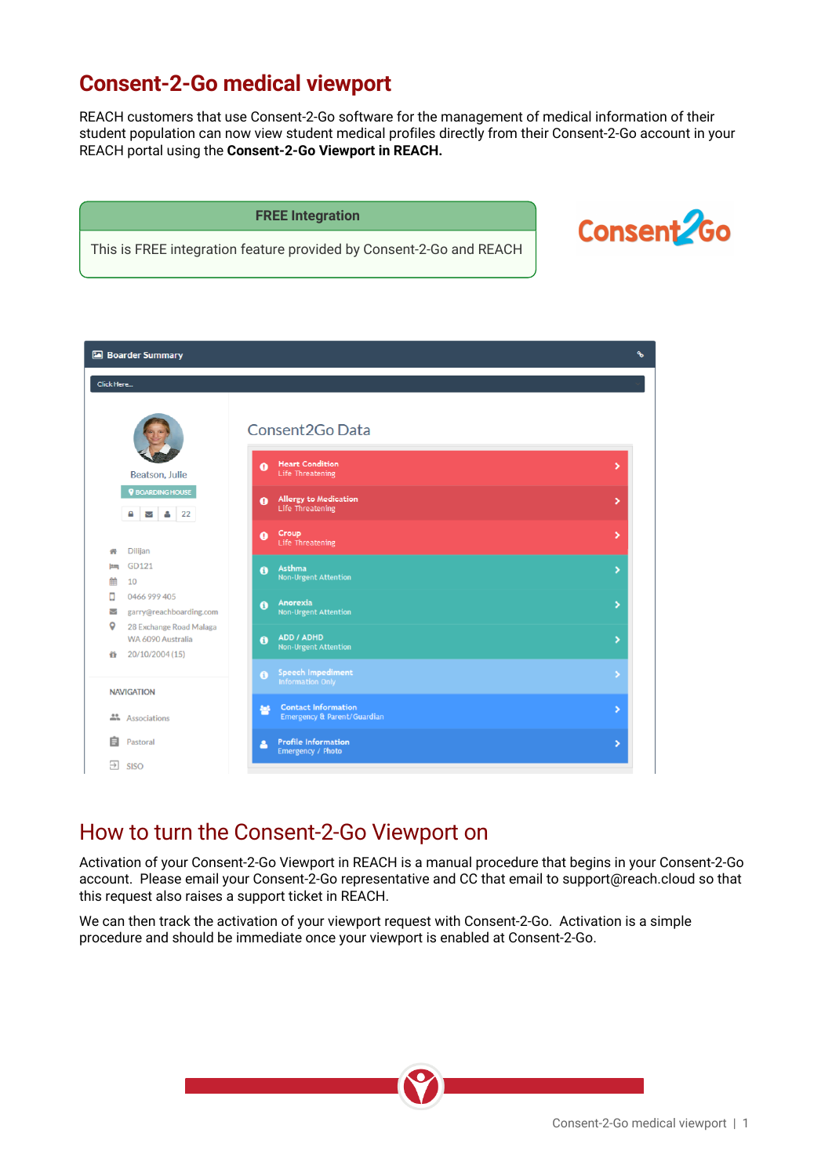## **Consent-2-Go medical viewport**

REACH customers that use Consent-2-Go software for the management of medical information of their student population can now view student medical profiles directly from their Consent-2-Go account in your REACH portal using the **Consent-2-Go Viewport in REACH.**

#### **FREE Integration**

This is FREE integration feature provided by Consent-2-Go and REACH



|                        | <b>Boarder Summary</b>                                          |                                                                             | ዔ                     |
|------------------------|-----------------------------------------------------------------|-----------------------------------------------------------------------------|-----------------------|
| Click Here             |                                                                 |                                                                             |                       |
|                        |                                                                 | Consent2Go Data                                                             |                       |
|                        | Beatson, Julie                                                  | <b>Heart Condition</b><br>$\bullet$<br>Life Threatening                     | >                     |
|                        | <b>V</b> BOARDING HOUSE                                         | <b>Allergy to Medication</b><br>$\bullet$<br>Life Threatening               | ٧                     |
| 州                      | Dilijan                                                         | Croup<br>$\bullet$<br>Life Threatening                                      | ×                     |
| lim<br>▦               | GD121<br>10                                                     | Asthma<br>$\bullet$<br><b>Non-Urgent Attention</b>                          | $\blacktriangleright$ |
| п<br>$\checkmark$<br>Q | 0466 999 405<br>garry@reachboarding.com                         | Anorexia<br>$\bullet$<br><b>Non-Urgent Attention</b>                        | ×                     |
| ű                      | 28 Exchange Road Malaga<br>WA 6090 Australia<br>20/10/2004 (15) | ADD / ADHD<br>$\ddot{\mathbf{a}}$<br><b>Non-Urgent Attention</b>            | ×                     |
|                        | <b>NAVIGATION</b>                                               | <b>Speech Impediment</b><br>$\ddot{\mathbf{0}}$<br>Information Only         | ۶                     |
|                        | Associations                                                    | <b>Contact Information</b><br>865<br><b>Emergency &amp; Parent/Guardian</b> | ×                     |
| 自                      | Pastoral                                                        | <b>Profile Information</b><br>Δ<br>Emergency / Photo                        | ×                     |
| $\rightarrow$          | <b>SISO</b>                                                     |                                                                             |                       |

### How to turn the Consent-2-Go Viewport on

Activation of your Consent-2-Go Viewport in REACH is a manual procedure that begins in your Consent-2-Go account. Please email your Consent-2-Go representative and CC that email to support@reach.cloud so that this request also raises a support ticket in REACH.

We can then track the activation of your viewport request with Consent-2-Go. Activation is a simple procedure and should be immediate once your viewport is enabled at Consent-2-Go.